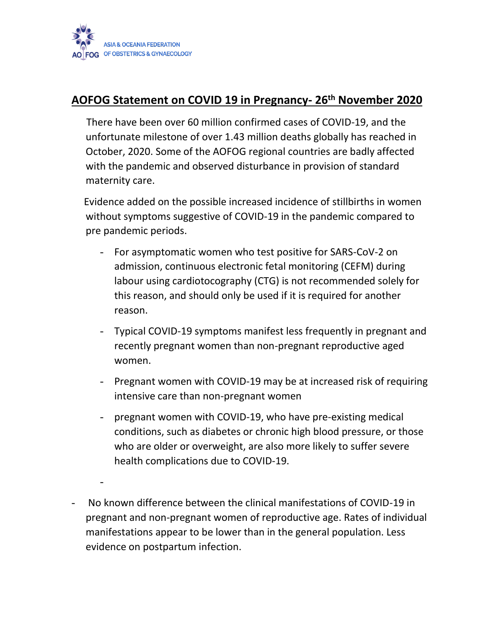

-

## **AOFOG Statement on COVID 19 in Pregnancy- 26th November 2020**

 There have been over 60 million confirmed cases of COVID-19, and the unfortunate milestone of over 1.43 million deaths globally has reached in October, 2020. Some of the AOFOG regional countries are badly affected with the pandemic and observed disturbance in provision of standard maternity care.

 Evidence added on the possible increased incidence of stillbirths in women without symptoms suggestive of COVID-19 in the pandemic compared to pre pandemic periods.

- For asymptomatic women who test positive for SARS-CoV-2 on admission, continuous electronic fetal monitoring (CEFM) during labour using cardiotocography (CTG) is not recommended solely for this reason, and should only be used if it is required for another reason.
- Typical COVID-19 symptoms manifest less frequently in pregnant and recently pregnant women than non-pregnant reproductive aged women.
- Pregnant women with COVID-19 may be at increased risk of requiring intensive care than non-pregnant women
- pregnant women with COVID-19, who have pre-existing medical conditions, such as diabetes or chronic high blood pressure, or those who are older or overweight, are also more likely to suffer severe health complications due to COVID-19.
- No known difference between the clinical manifestations of COVID-19 in pregnant and non-pregnant women of reproductive age. Rates of individual manifestations appear to be lower than in the general population. Less evidence on postpartum infection.